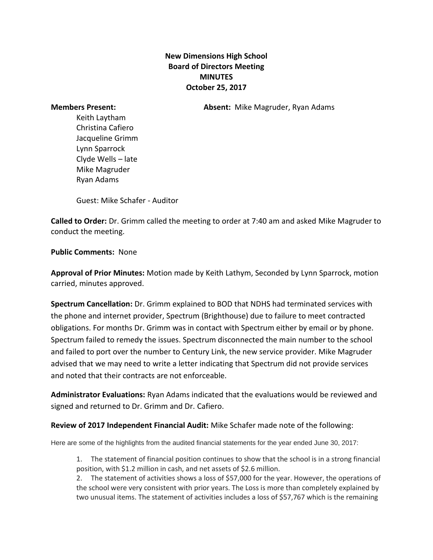## **New Dimensions High School Board of Directors Meeting MINUTES October 25, 2017**

**Members Present: Absent:** Mike Magruder, Ryan Adams

Keith Laytham Christina Cafiero Jacqueline Grimm Lynn Sparrock Clyde Wells – late Mike Magruder Ryan Adams

Guest: Mike Schafer - Auditor

**Called to Order:** Dr. Grimm called the meeting to order at 7:40 am and asked Mike Magruder to conduct the meeting.

**Public Comments:** None

**Approval of Prior Minutes:** Motion made by Keith Lathym, Seconded by Lynn Sparrock, motion carried, minutes approved.

**Spectrum Cancellation:** Dr. Grimm explained to BOD that NDHS had terminated services with the phone and internet provider, Spectrum (Brighthouse) due to failure to meet contracted obligations. For months Dr. Grimm was in contact with Spectrum either by email or by phone. Spectrum failed to remedy the issues. Spectrum disconnected the main number to the school and failed to port over the number to Century Link, the new service provider. Mike Magruder advised that we may need to write a letter indicating that Spectrum did not provide services and noted that their contracts are not enforceable.

**Administrator Evaluations:** Ryan Adams indicated that the evaluations would be reviewed and signed and returned to Dr. Grimm and Dr. Cafiero.

## **Review of 2017 Independent Financial Audit:** Mike Schafer made note of the following:

Here are some of the highlights from the audited financial statements for the year ended June 30, 2017:

1. The statement of financial position continues to show that the school is in a strong financial position, with \$1.2 million in cash, and net assets of \$2.6 million.

2. The statement of activities shows a loss of \$57,000 for the year. However, the operations of the school were very consistent with prior years. The Loss is more than completely explained by two unusual items. The statement of activities includes a loss of \$57,767 which is the remaining